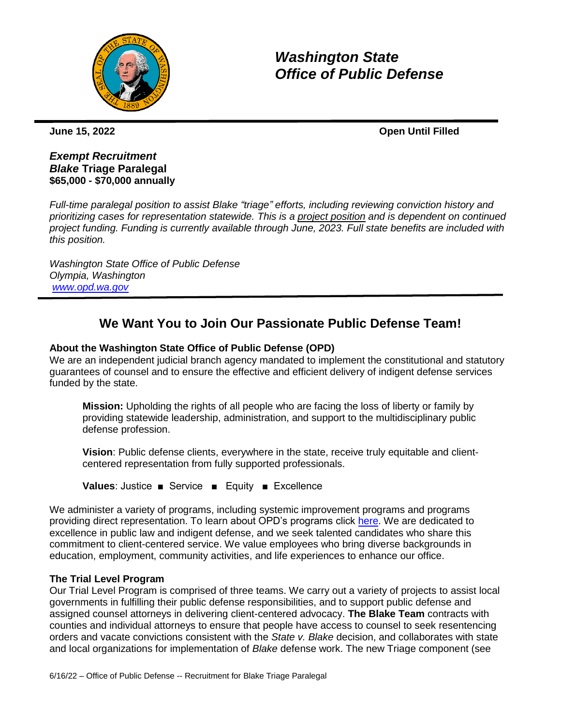

# *Washington State Office of Public Defense*

**June 15, 2022 Open Until Filled**

# *Exempt Recruitment Blake* **Triage Paralegal \$65,000 - \$70,000 annually**

*Full-time paralegal position to assist Blake "triage" efforts, including reviewing conviction history and prioritizing cases for representation statewide. This is a project position and is dependent on continued project funding. Funding is currently available through June, 2023. Full state benefits are included with this position.*

*Washington State Office of Public Defense Olympia, Washington [www.opd.wa.gov](http://www.opd.wa.gov/)*

# **We Want You to Join Our Passionate Public Defense Team!**

# **About the Washington State Office of Public Defense (OPD)**

We are an independent judicial branch agency mandated to implement the constitutional and statutory guarantees of counsel and to ensure the effective and efficient delivery of indigent defense services funded by the state.

**Mission:** Upholding the rights of all people who are facing the loss of liberty or family by providing statewide leadership, administration, and support to the multidisciplinary public defense profession.

**Vision**: Public defense clients, everywhere in the state, receive truly equitable and clientcentered representation from fully supported professionals.

**Values**: Justice ■ Service ■ Equity ■ Excellence

We administer a variety of programs, including systemic improvement programs and programs providing direct representation. To learn about OPD's programs click [here.](https://opd.wa.gov/program) We are dedicated to excellence in public law and indigent defense, and we seek talented candidates who share this commitment to client-centered service. We value employees who bring diverse backgrounds in education, employment, community activities, and life experiences to enhance our office.

# **The Trial Level Program**

Our Trial Level Program is comprised of three teams. We carry out a variety of projects to assist local governments in fulfilling their public defense responsibilities, and to support public defense and assigned counsel attorneys in delivering client-centered advocacy. **The Blake Team** contracts with counties and individual attorneys to ensure that people have access to counsel to seek resentencing orders and vacate convictions consistent with the *State v. Blake* decision, and collaborates with state and local organizations for implementation of *Blake* defense work. The new Triage component (see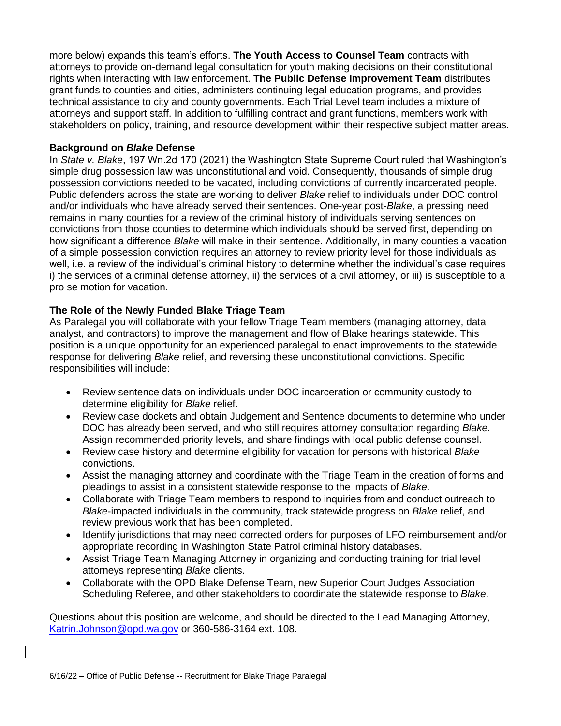more below) expands this team's efforts. **The Youth Access to Counsel Team** contracts with attorneys to provide on-demand legal consultation for youth making decisions on their constitutional rights when interacting with law enforcement. **The Public Defense Improvement Team** distributes grant funds to counties and cities, administers continuing legal education programs, and provides technical assistance to city and county governments. Each Trial Level team includes a mixture of attorneys and support staff. In addition to fulfilling contract and grant functions, members work with stakeholders on policy, training, and resource development within their respective subject matter areas.

#### **Background on** *Blake* **Defense**

In *State v. Blake*, 197 Wn.2d 170 (2021) the Washington State Supreme Court ruled that Washington's simple drug possession law was unconstitutional and void. Consequently, thousands of simple drug possession convictions needed to be vacated, including convictions of currently incarcerated people. Public defenders across the state are working to deliver *Blake* relief to individuals under DOC control and/or individuals who have already served their sentences. One-year post-*Blake*, a pressing need remains in many counties for a review of the criminal history of individuals serving sentences on convictions from those counties to determine which individuals should be served first, depending on how significant a difference *Blake* will make in their sentence. Additionally, in many counties a vacation of a simple possession conviction requires an attorney to review priority level for those individuals as well, i.e. a review of the individual's criminal history to determine whether the individual's case requires i) the services of a criminal defense attorney, ii) the services of a civil attorney, or iii) is susceptible to a pro se motion for vacation.

# **The Role of the Newly Funded Blake Triage Team**

As Paralegal you will collaborate with your fellow Triage Team members (managing attorney, data analyst, and contractors) to improve the management and flow of Blake hearings statewide. This position is a unique opportunity for an experienced paralegal to enact improvements to the statewide response for delivering *Blake* relief, and reversing these unconstitutional convictions. Specific responsibilities will include:

- Review sentence data on individuals under DOC incarceration or community custody to determine eligibility for *Blake* relief.
- Review case dockets and obtain Judgement and Sentence documents to determine who under DOC has already been served, and who still requires attorney consultation regarding *Blake*. Assign recommended priority levels, and share findings with local public defense counsel.
- Review case history and determine eligibility for vacation for persons with historical *Blake* convictions.
- Assist the managing attorney and coordinate with the Triage Team in the creation of forms and pleadings to assist in a consistent statewide response to the impacts of *Blake*.
- Collaborate with Triage Team members to respond to inquiries from and conduct outreach to *Blake*-impacted individuals in the community, track statewide progress on *Blake* relief, and review previous work that has been completed.
- Identify jurisdictions that may need corrected orders for purposes of LFO reimbursement and/or appropriate recording in Washington State Patrol criminal history databases.
- Assist Triage Team Managing Attorney in organizing and conducting training for trial level attorneys representing *Blake* clients.
- Collaborate with the OPD Blake Defense Team, new Superior Court Judges Association Scheduling Referee, and other stakeholders to coordinate the statewide response to *Blake*.

Questions about this position are welcome, and should be directed to the Lead Managing Attorney, [Katrin.Johnson@opd.wa.gov](mailto:Katrin.Johnson@opd.wa.gov) or 360-586-3164 ext. 108.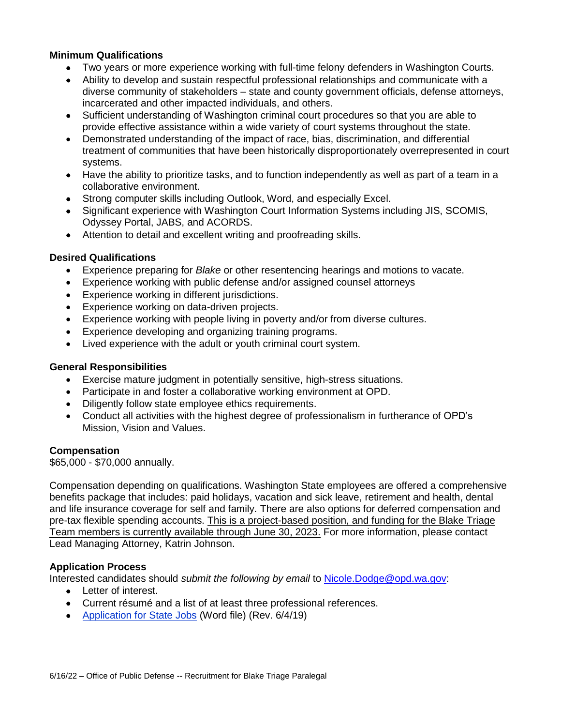### **Minimum Qualifications**

- Two years or more experience working with full-time felony defenders in Washington Courts.
- Ability to develop and sustain respectful professional relationships and communicate with a diverse community of stakeholders – state and county government officials, defense attorneys, incarcerated and other impacted individuals, and others.
- Sufficient understanding of Washington criminal court procedures so that you are able to provide effective assistance within a wide variety of court systems throughout the state.
- Demonstrated understanding of the impact of race, bias, discrimination, and differential treatment of communities that have been historically disproportionately overrepresented in court systems.
- Have the ability to prioritize tasks, and to function independently as well as part of a team in a collaborative environment.
- Strong computer skills including Outlook, Word, and especially Excel.
- Significant experience with Washington Court Information Systems including JIS, SCOMIS, Odyssey Portal, JABS, and ACORDS.
- Attention to detail and excellent writing and proofreading skills.

#### **Desired Qualifications**

- Experience preparing for *Blake* or other resentencing hearings and motions to vacate.
- Experience working with public defense and/or assigned counsel attorneys
- Experience working in different jurisdictions.
- **Experience working on data-driven projects.**
- Experience working with people living in poverty and/or from diverse cultures.
- Experience developing and organizing training programs.
- Lived experience with the adult or youth criminal court system.

#### **General Responsibilities**

- Exercise mature judgment in potentially sensitive, high-stress situations.
- Participate in and foster a collaborative working environment at OPD.
- Diligently follow state employee ethics requirements.
- Conduct all activities with the highest degree of professionalism in furtherance of OPD's Mission, Vision and Values.

#### **Compensation**

\$65,000 - \$70,000 annually.

Compensation depending on qualifications. Washington State employees are offered a comprehensive benefits package that includes: paid holidays, vacation and sick leave, retirement and health, dental and life insurance coverage for self and family. There are also options for deferred compensation and pre-tax flexible spending accounts. This is a project-based position, and funding for the Blake Triage Team members is currently available through June 30, 2023. For more information, please contact Lead Managing Attorney, Katrin Johnson.

#### **Application Process**

Interested candidates should *submit the following by email* to [Nicole.Dodge@opd.wa.gov:](mailto:Nicole.Dodge@opd.wa.gov)

- Letter of interest.
- Current résumé and a list of at least three professional references.
- [Application for State Jobs](https://www.ofm.wa.gov/sites/default/files/public/shr/Forms%20and%20Publications/DOP%20Forms/StateApplication.docm) (Word file) (Rev. 6/4/19)